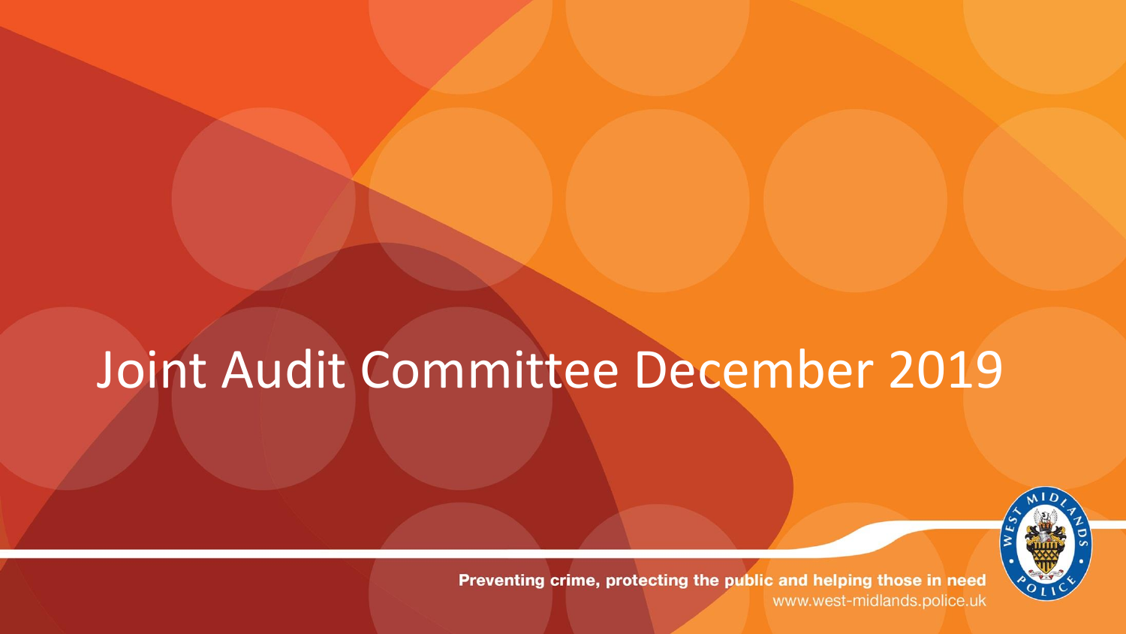# Joint Audit Committee December 2019

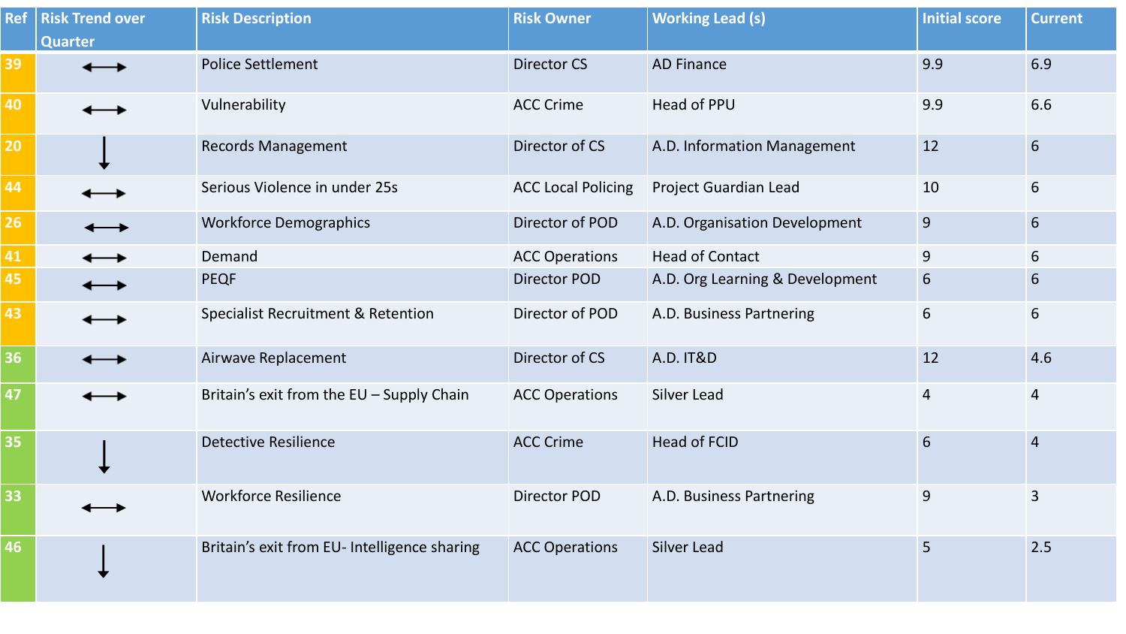| <b>Ref</b> | <b>Risk Trend over</b> | <b>Risk Description</b>                       | <b>Risk Owner</b>         | <b>Working Lead (s)</b>         | <b>Initial score</b> | <b>Current</b> |
|------------|------------------------|-----------------------------------------------|---------------------------|---------------------------------|----------------------|----------------|
|            | <b>Quarter</b>         |                                               |                           |                                 |                      |                |
| 39         |                        | <b>Police Settlement</b>                      | <b>Director CS</b>        | <b>AD Finance</b>               | 9.9                  | 6.9            |
| 40         |                        | Vulnerability                                 | <b>ACC Crime</b>          | Head of PPU                     | 9.9                  | 6.6            |
| 20         |                        | <b>Records Management</b>                     | Director of CS            | A.D. Information Management     | 12                   | $6\phantom{1}$ |
| 44         |                        | Serious Violence in under 25s                 | <b>ACC Local Policing</b> | Project Guardian Lead           | 10                   | 6              |
| 26         |                        | <b>Workforce Demographics</b>                 | Director of POD           | A.D. Organisation Development   | 9                    | 6              |
| 41         |                        | Demand                                        | <b>ACC Operations</b>     | <b>Head of Contact</b>          | 9                    | 6              |
| 45         |                        | <b>PEQF</b>                                   | <b>Director POD</b>       | A.D. Org Learning & Development | 6                    | 6              |
| 43         |                        | <b>Specialist Recruitment &amp; Retention</b> | Director of POD           | A.D. Business Partnering        | 6                    | 6              |
| 36         |                        | Airwave Replacement                           | Director of CS            | <b>A.D. IT&amp;D</b>            | 12                   | 4.6            |
| 47         |                        | Britain's exit from the EU - Supply Chain     | <b>ACC Operations</b>     | Silver Lead                     | $\overline{4}$       | $\overline{4}$ |
| 35         |                        | <b>Detective Resilience</b>                   | <b>ACC Crime</b>          | <b>Head of FCID</b>             | 6                    | $\overline{4}$ |
| 33         |                        | <b>Workforce Resilience</b>                   | Director POD              | A.D. Business Partnering        | 9                    | 3              |
| 46         |                        | Britain's exit from EU- Intelligence sharing  | <b>ACC Operations</b>     | <b>Silver Lead</b>              | 5                    | 2.5            |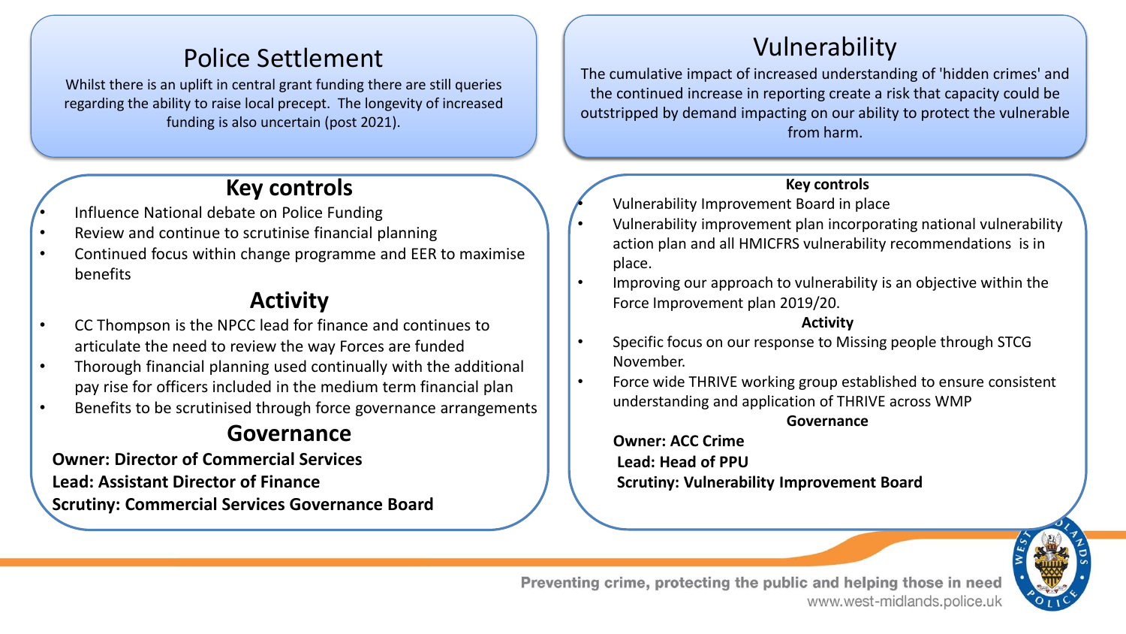# Police Settlement

Whilst there is an uplift in central grant funding there are still queries regarding the ability to raise local precept. The longevity of increased funding is also uncertain (post 2021).

## **Key controls**

- Influence National debate on Police Funding
- Review and continue to scrutinise financial planning
- Continued focus within change programme and EER to maximise benefits

## **Activity**

- CC Thompson is the NPCC lead for finance and continues to articulate the need to review the way Forces are funded
- Thorough financial planning used continually with the additional pay rise for officers included in the medium term financial plan
- Benefits to be scrutinised through force governance arrangements

# **Governance**

**Owner: Director of Commercial Services Lead: Assistant Director of Finance Scrutiny: Commercial Services Governance Board** 

# Vulnerability

The cumulative impact of increased understanding of 'hidden crimes' and the continued increase in reporting create a risk that capacity could be outstripped by demand impacting on our ability to protect the vulnerable from harm.

#### **Key controls**

• Vulnerability Improvement Board in place

- Vulnerability improvement plan incorporating national vulnerability action plan and all HMICFRS vulnerability recommendations is in place.
- Improving our approach to vulnerability is an objective within the Force Improvement plan 2019/20.

#### **Activity**

- Specific focus on our response to Missing people through STCG November.
- Force wide THRIVE working group established to ensure consistent understanding and application of THRIVE across WMP

**Governance**

**Owner: ACC Crime Lead: Head of PPU Scrutiny: Vulnerability Improvement Board** 

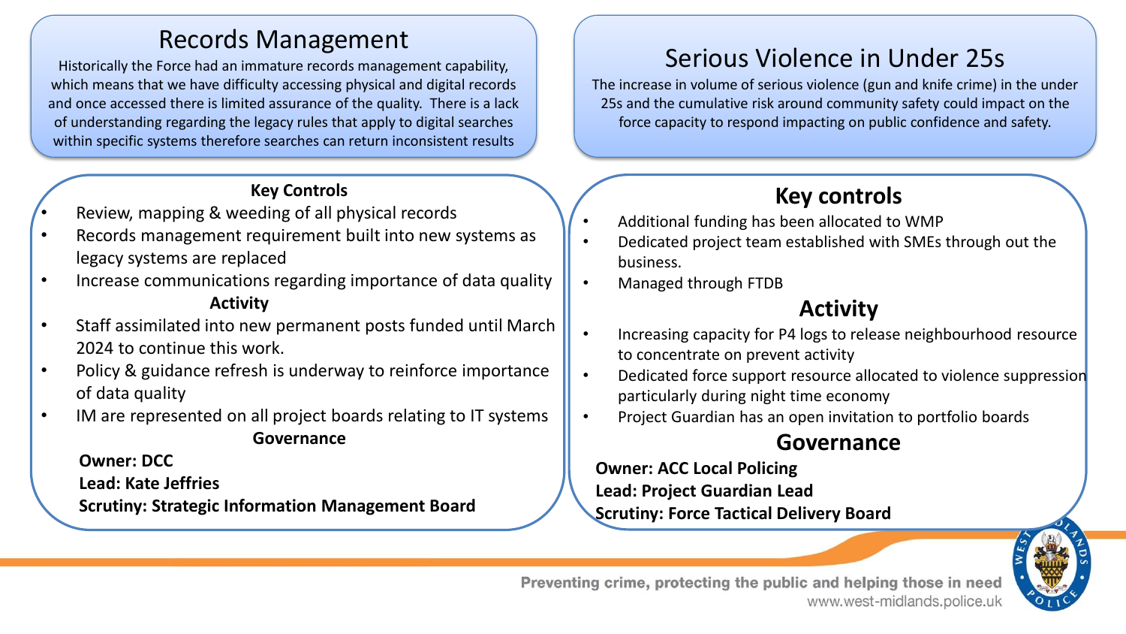# Records Management

Historically the Force had an immature records management capability, which means that we have difficulty accessing physical and digital records and once accessed there is limited assurance of the quality. There is a lack of understanding regarding the legacy rules that apply to digital searches within specific systems therefore searches can return inconsistent results

#### **Key Controls**

- Review, mapping & weeding of all physical records
- Records management requirement built into new systems as legacy systems are replaced
- Increase communications regarding importance of data quality **Activity**
- Staff assimilated into new permanent posts funded until March 2024 to continue this work.
- Policy & guidance refresh is underway to reinforce importance of data quality
- IM are represented on all project boards relating to IT systems **Governance**

**Owner: DCC**

**Lead: Kate Jeffries**

**Scrutiny: Strategic Information Management Board**

# Serious Violence in Under 25s

The increase in volume of serious violence (gun and knife crime) in the under 25s and the cumulative risk around community safety could impact on the force capacity to respond impacting on public confidence and safety.

# **Key controls**

- Additional funding has been allocated to WMP
- Dedicated project team established with SMEs through out the business.
- Managed through FTDB

# **Activity**

- Increasing capacity for P4 logs to release neighbourhood resource to concentrate on prevent activity
- Dedicated force support resource allocated to violence suppression particularly during night time economy
- Project Guardian has an open invitation to portfolio boards

#### **Governance**

**Owner: ACC Local Policing Lead: Project Guardian Lead Scrutiny: Force Tactical Delivery Board**

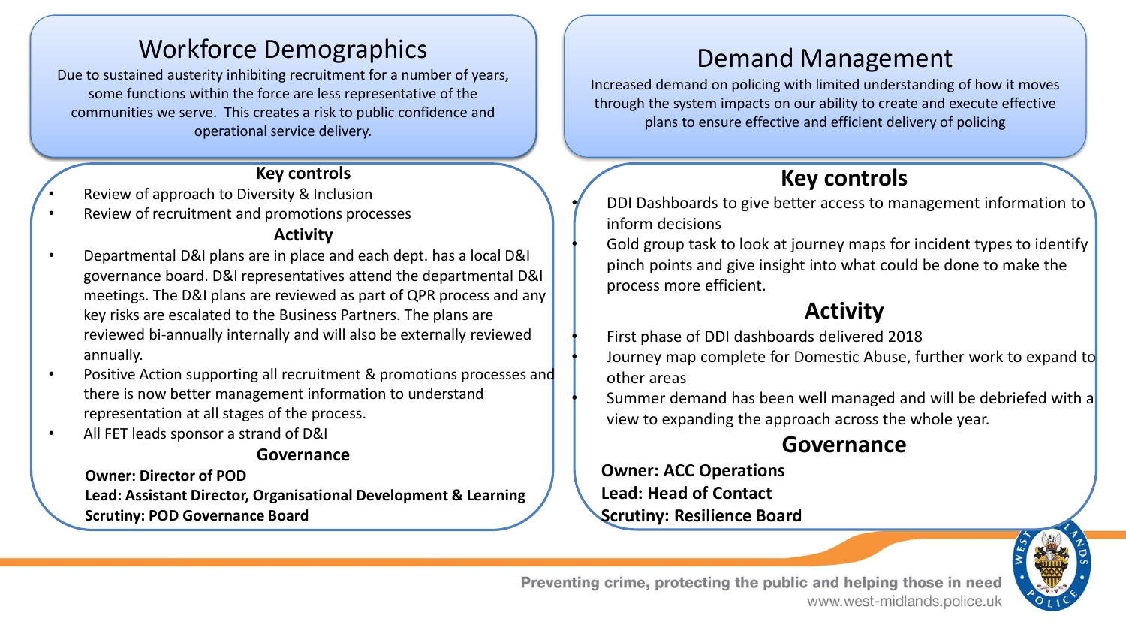# Workforce Demographics

Due to sustained austerity inhibiting recruitment for a number of years, some functions within the force are less representative of the communities we serve. This creates a risk to public confidence and operational service delivery.

#### **Key controls**

- Review of approach to Diversity & Inclusion
- Review of recruitment and promotions processes

#### **Activity**

- Departmental D&I plans are in place and each dept. has a local D&I governance board. D&I representatives attend the departmental D&I meetings. The D&I plans are reviewed as part of QPR process and any key risks are escalated to the Business Partners. The plans are reviewed bi-annually internally and will also be externally reviewed annually.
- Positive Action supporting all recruitment & promotions processes and there is now better management information to understand representation at all stages of the process.
- All FET leads sponsor a strand of D&I

#### **Governance**

**Owner: Director of POD Lead: Assistant Director, Organisational Development & Learning Scrutiny: POD Governance Board** 

# Demand Management

Increased demand on policing with limited understanding of how it moves through the system impacts on our ability to create and execute effective plans to ensure effective and efficient delivery of policing

# **Key controls**

• DDI Dashboards to give better access to management information to inform decisions

• Gold group task to look at journey maps for incident types to identify pinch points and give insight into what could be done to make the process more efficient.

## **Activity**

• First phase of DDI dashboards delivered 2018

• Journey map complete for Domestic Abuse, further work to expand to other areas

• Summer demand has been well managed and will be debriefed with a view to expanding the approach across the whole year.

#### **Governance**

**Owner: ACC Operations Lead: Head of Contact Scrutiny: Resilience Board** 

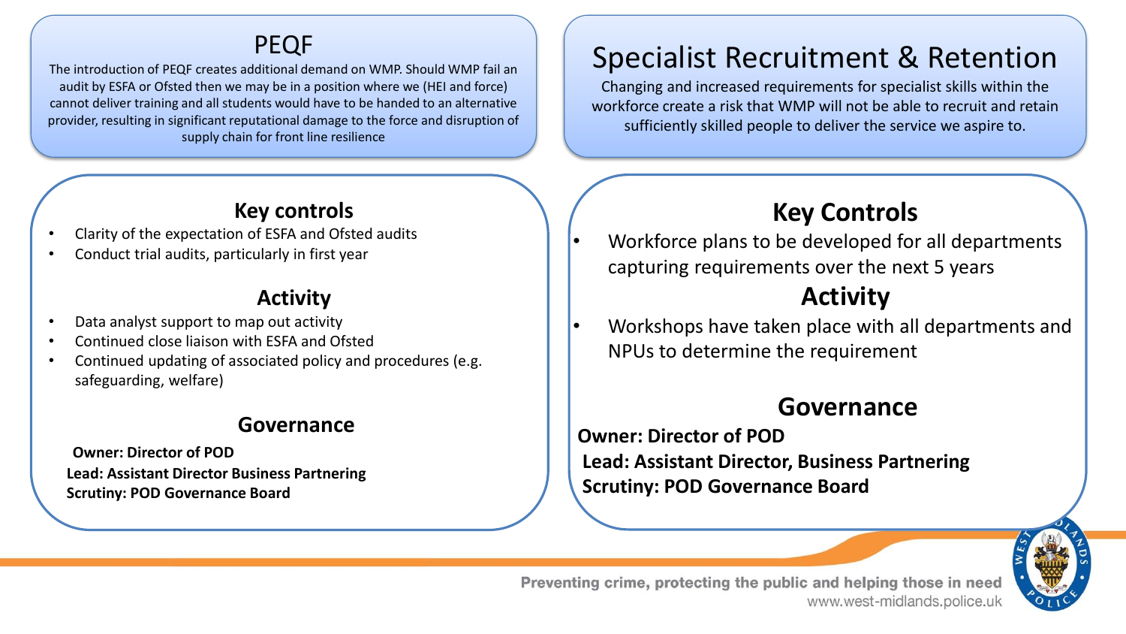## PEQF

The introduction of PEQF creates additional demand on WMP. Should WMP fail an audit by ESFA or Ofsted then we may be in a position where we (HEI and force) cannot deliver training and all students would have to be handed to an alternative provider, resulting in significant reputational damage to the force and disruption of supply chain for front line resilience

#### **Key controls**

- Clarity of the expectation of ESFA and Ofsted audits
- Conduct trial audits, particularly in first year

### **Activity**

- Data analyst support to map out activity
- Continued close liaison with ESFA and Ofsted
- Continued updating of associated policy and procedures (e.g. safeguarding, welfare)

#### **Governance**

**Owner: Director of POD Lead: Assistant Director Business Partnering Scrutiny: POD Governance Board** 

# Specialist Recruitment & Retention

Changing and increased requirements for specialist skills within the workforce create a risk that WMP will not be able to recruit and retain sufficiently skilled people to deliver the service we aspire to.

# **Key Controls**

• Workforce plans to be developed for all departments capturing requirements over the next 5 years

# **Activity**

• Workshops have taken place with all departments and NPUs to determine the requirement

# **Governance**

**Owner: Director of POD Lead: Assistant Director, Business Partnering Scrutiny: POD Governance Board**

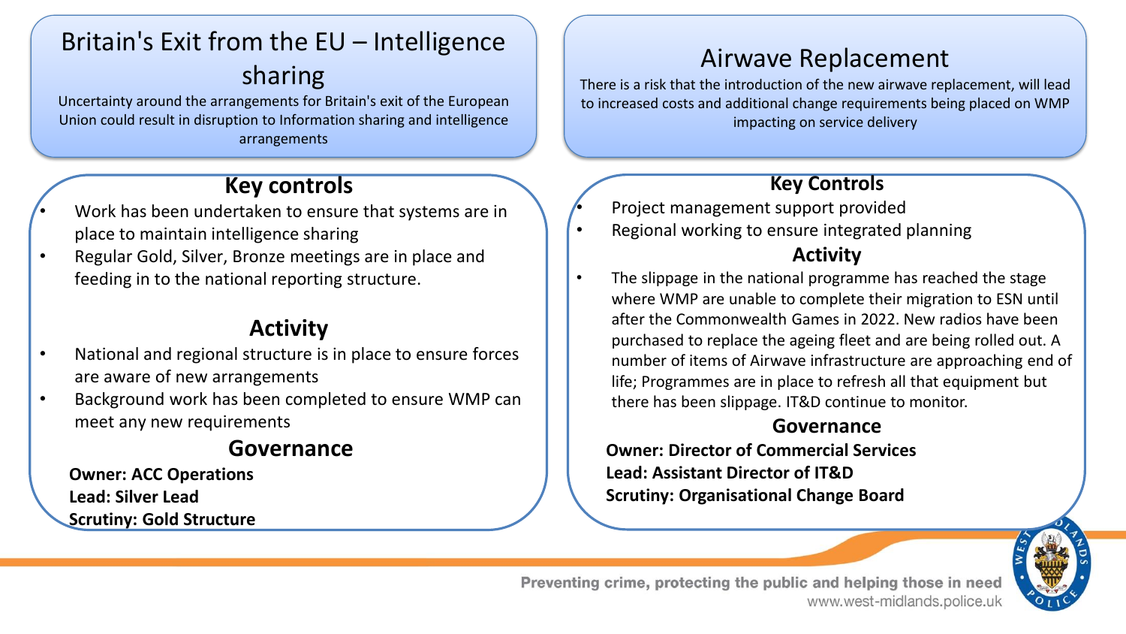# Britain's Exit from the EU – Intelligence sharing

Uncertainty around the arrangements for Britain's exit of the European Union could result in disruption to Information sharing and intelligence arrangements

### **Key controls**

- Work has been undertaken to ensure that systems are in place to maintain intelligence sharing
- Regular Gold, Silver, Bronze meetings are in place and feeding in to the national reporting structure.

### **Activity**

- National and regional structure is in place to ensure forces are aware of new arrangements
- Background work has been completed to ensure WMP can meet any new requirements

### **Governance**

**Owner: ACC Operations Lead: Silver Lead Scrutiny: Gold Structure** 

# Airwave Replacement

There is a risk that the introduction of the new airwave replacement, will lead to increased costs and additional change requirements being placed on WMP impacting on service delivery

#### **Key Controls**

- Project management support provided
- Regional working to ensure integrated planning **Activity**
- The slippage in the national programme has reached the stage where WMP are unable to complete their migration to ESN until after the Commonwealth Games in 2022. New radios have been purchased to replace the ageing fleet and are being rolled out. A number of items of Airwave infrastructure are approaching end of life; Programmes are in place to refresh all that equipment but there has been slippage. IT&D continue to monitor.

#### **Governance**

**Owner: Director of Commercial Services Lead: Assistant Director of IT&D Scrutiny: Organisational Change Board** 

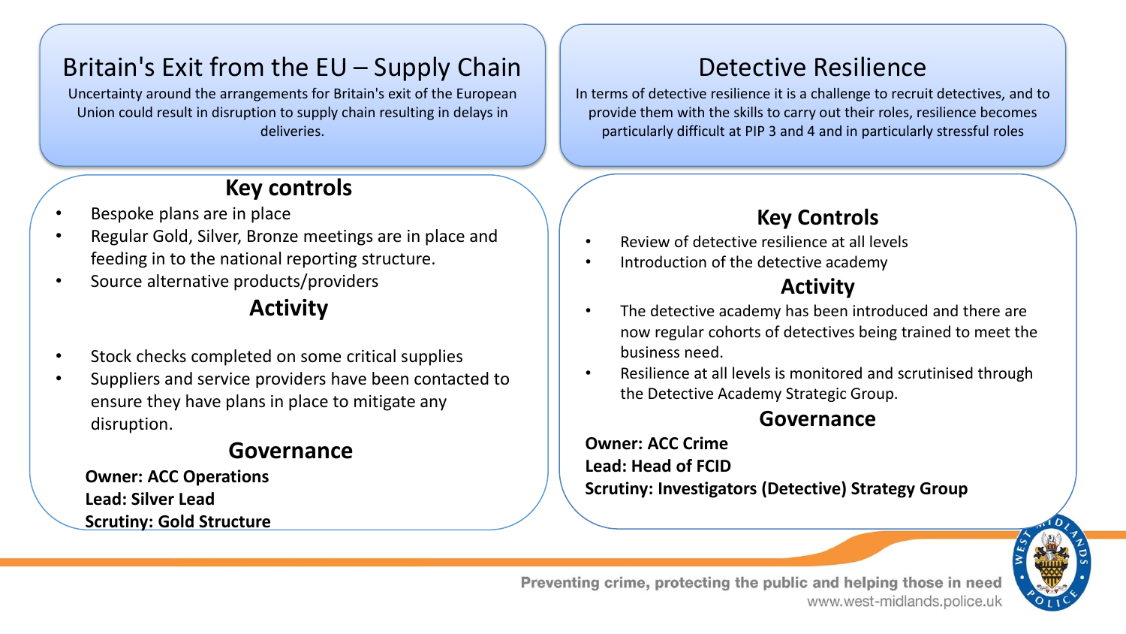# Britain's Exit from the EU – Supply Chain

Uncertainty around the arrangements for Britain's exit of the European Union could result in disruption to supply chain resulting in delays in deliveries.

# **Key controls**

- Bespoke plans are in place
- Regular Gold, Silver, Bronze meetings are in place and feeding in to the national reporting structure.
- Source alternative products/providers

# **Activity**

- Stock checks completed on some critical supplies
- Suppliers and service providers have been contacted to ensure they have plans in place to mitigate any disruption.

#### **Governance**

**Owner: ACC Operations Lead: Silver Lead Scrutiny: Gold Structure** 

# Detective Resilience

In terms of detective resilience it is a challenge to recruit detectives, and to provide them with the skills to carry out their roles, resilience becomes particularly difficult at PIP 3 and 4 and in particularly stressful roles

## **Key Controls**

- Review of detective resilience at all levels
- Introduction of the detective academy

#### **Activity**

- The detective academy has been introduced and there are now regular cohorts of detectives being trained to meet the business need.
- Resilience at all levels is monitored and scrutinised through the Detective Academy Strategic Group.

#### **Governance**

**Owner: ACC Crime Lead: Head of FCID Scrutiny: Investigators (Detective) Strategy Group**

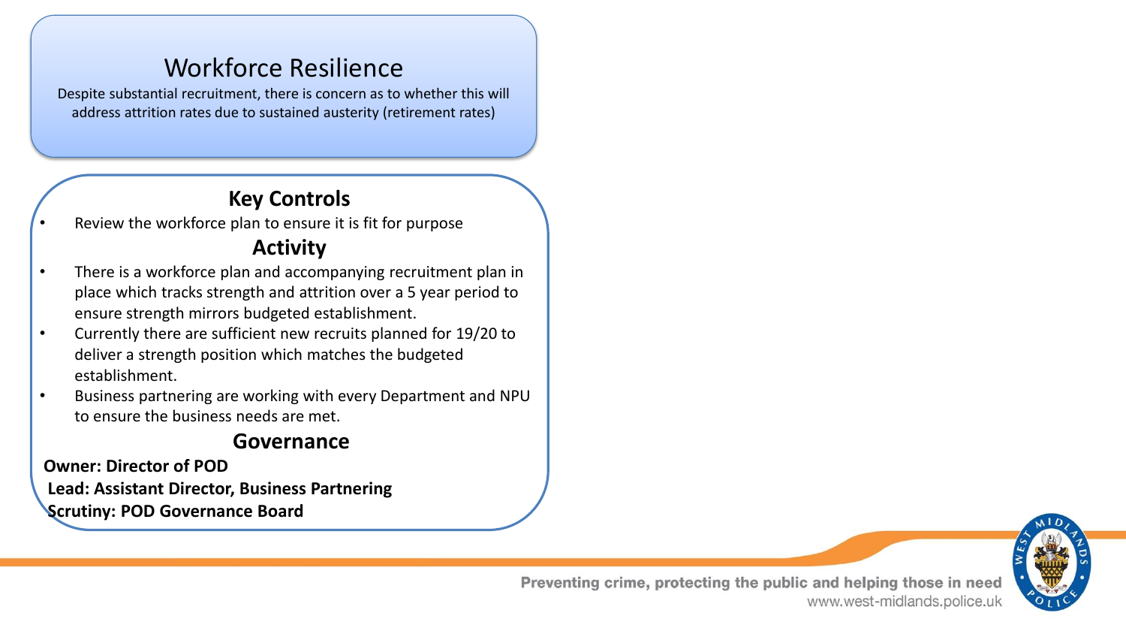# Workforce Resilience

Despite substantial recruitment, there is concern as to whether this will address attrition rates due to sustained austerity (retirement rates)

## **Key Controls**

Review the workforce plan to ensure it is fit for purpose

### **Activity**

- There is a workforce plan and accompanying recruitment plan in place which tracks strength and attrition over a 5 year period to ensure strength mirrors budgeted establishment.
- Currently there are sufficient new recruits planned for 19/20 to deliver a strength position which matches the budgeted establishment.
- Business partnering are working with every Department and NPU to ensure the business needs are met.

### **Governance**

**Owner: Director of POD Lead: Assistant Director, Business Partnering Scrutiny: POD Governance Board**

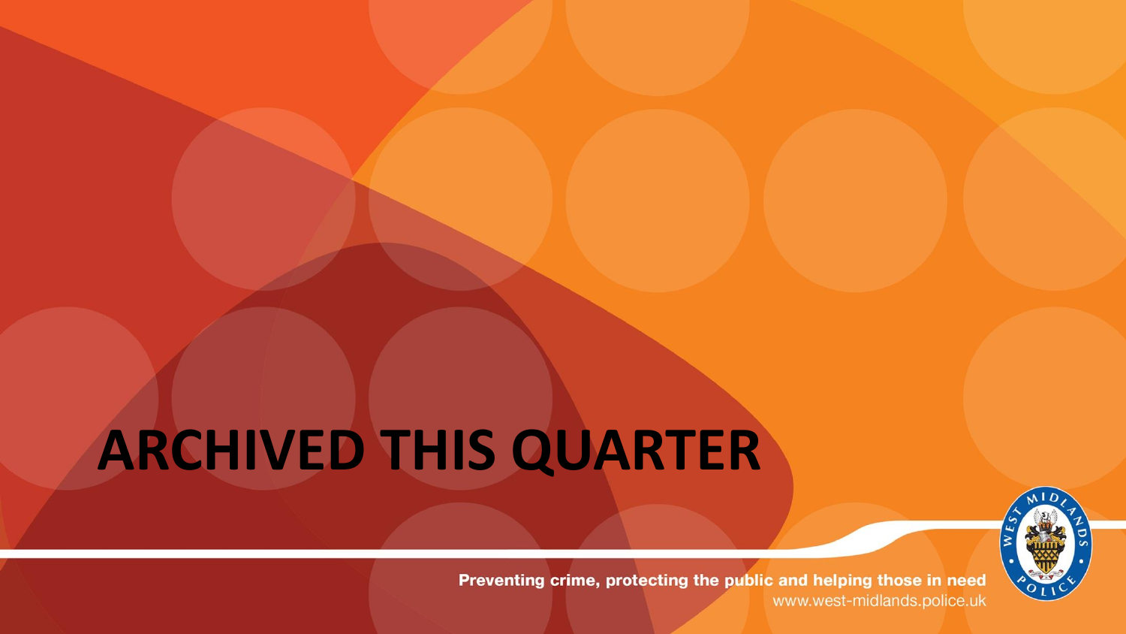# **ARCHIVED THIS QUARTER**